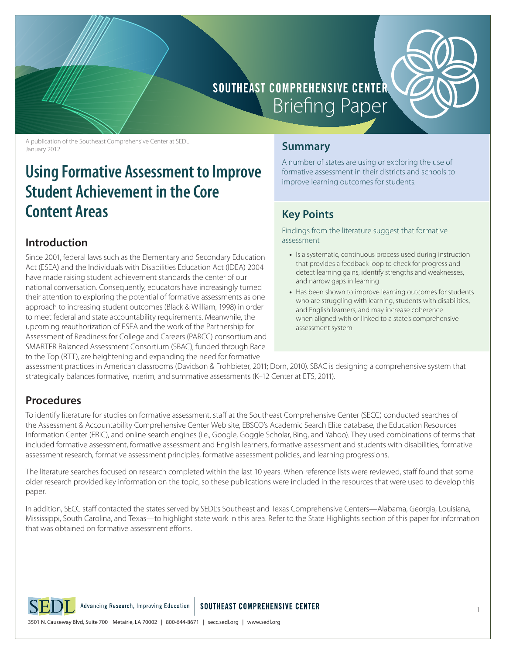

# **SOUTHEAST COMPREHENSIVE CENTER Briefing Paper**

A publication of the Southeast Comprehensive Center at SEDL January 2012

# **Using Formative Assessment to Improve Student Achievement in the Core Content Areas**

### **Introduction**

Since 2001, federal laws such as the Elementary and Secondary Education Act (ESEA) and the Individuals with Disabilities Education Act (IDEA) 2004 have made raising student achievement standards the center of our national conversation. Consequently, educators have increasingly turned their attention to exploring the potential of formative assessments as one approach to increasing student outcomes (Black & William, 1998) in order to meet federal and state accountability requirements. Meanwhile, the upcoming reauthorization of ESEA and the work of the Partnership for Assessment of Readiness for College and Careers (PARCC) consortium and SMARTER Balanced Assessment Consortium (SBAC), funded through Race to the Top (RTT), are heightening and expanding the need for formative

### **Summary**

A number of states are using or exploring the use of formative assessment in their districts and schools to improve learning outcomes for students.

# **Key Points**

Findings from the literature suggest that formative assessment

- **•** Is a systematic, continuous process used during instruction that provides a feedback loop to check for progress and detect learning gains, identify strengths and weaknesses, and narrow gaps in learning
- **•** Has been shown to improve learning outcomes for students who are struggling with learning, students with disabilities, and English learners, and may increase coherence when aligned with or linked to a state's comprehensive assessment system

assessment practices in American classrooms (Davidson & Frohbieter, 2011; Dorn, 2010). SBAC is designing a comprehensive system that strategically balances formative, interim, and summative assessments (K–12 Center at ETS, 2011).

# **Procedures**

To identify literature for studies on formative assessment, staff at the Southeast Comprehensive Center (SECC) conducted searches of the Assessment & Accountability Comprehensive Center Web site, EBSCO's Academic Search Elite database, the Education Resources Information Center (ERIC), and online search engines (i.e., Google, Goggle Scholar, Bing, and Yahoo). They used combinations of terms that included formative assessment, formative assessment and English learners, formative assessment and students with disabilities, formative assessment research, formative assessment principles, formative assessment policies, and learning progressions.

The literature searches focused on research completed within the last 10 years. When reference lists were reviewed, staff found that some older research provided key information on the topic, so these publications were included in the resources that were used to develop this paper.

In addition, SECC staff contacted the states served by SEDL's Southeast and Texas Comprehensive Centers—Alabama, Georgia, Louisiana, Mississippi, South Carolina, and Texas—to highlight state work in this area. Refer to the State Highlights section of this paper for information that was obtained on formative assessment efforts.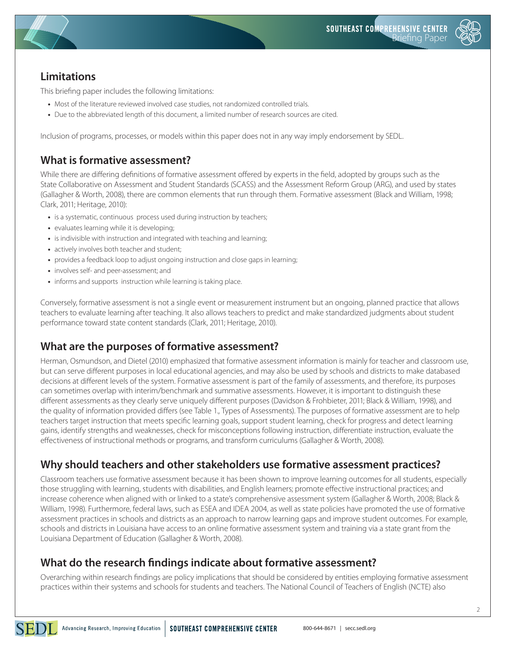

# **Limitations**

This briefing paper includes the following limitations:

- Most of the literature reviewed involved case studies, not randomized controlled trials.
- Due to the abbreviated length of this document, a limited number of research sources are cited.

Inclusion of programs, processes, or models within this paper does not in any way imply endorsement by SEDL.

# **What is formative assessment?**

While there are differing definitions of formative assessment offered by experts in the field, adopted by groups such as the State Collaborative on Assessment and Student Standards (SCASS) and the Assessment Reform Group (ARG), and used by states (Gallagher & Worth, 2008), there are common elements that run through them. Formative assessment (Black and William, 1998; Clark, 2011; Heritage, 2010):

- **•** is a systematic, continuous process used during instruction by teachers;
- **•** evaluates learning while it is developing;
- **•** is indivisible with instruction and integrated with teaching and learning;
- **•** actively involves both teacher and student;
- **•** provides a feedback loop to adjust ongoing instruction and close gaps in learning;
- **•** involves self- and peer-assessment; and
- **•** informs and supports instruction while learning is taking place.

Conversely, formative assessment is not a single event or measurement instrument but an ongoing, planned practice that allows teachers to evaluate learning after teaching. It also allows teachers to predict and make standardized judgments about student performance toward state content standards (Clark, 2011; Heritage, 2010).

# **What are the purposes of formative assessment?**

Herman, Osmundson, and Dietel (2010) emphasized that formative assessment information is mainly for teacher and classroom use, but can serve different purposes in local educational agencies, and may also be used by schools and districts to make databased decisions at different levels of the system. Formative assessment is part of the family of assessments, and therefore, its purposes can sometimes overlap with interim/benchmark and summative assessments. However, it is important to distinguish these different assessments as they clearly serve uniquely different purposes (Davidson & Frohbieter, 2011; Black & William, 1998), and the quality of information provided differs (see Table 1., Types of Assessments). The purposes of formative assessment are to help teachers target instruction that meets specific learning goals, support student learning, check for progress and detect learning gains, identify strengths and weaknesses, check for misconceptions following instruction, differentiate instruction, evaluate the effectiveness of instructional methods or programs, and transform curriculums (Gallagher & Worth, 2008).

# **Why should teachers and other stakeholders use formative assessment practices?**

Classroom teachers use formative assessment because it has been shown to improve learning outcomes for all students, especially those struggling with learning, students with disabilities, and English learners; promote effective instructional practices; and increase coherence when aligned with or linked to a state's comprehensive assessment system (Gallagher & Worth, 2008; Black & William, 1998). Furthermore, federal laws, such as ESEA and IDEA 2004, as well as state policies have promoted the use of formative assessment practices in schools and districts as an approach to narrow learning gaps and improve student outcomes. For example, schools and districts in Louisiana have access to an online formative assessment system and training via a state grant from the Louisiana Department of Education (Gallagher & Worth, 2008).

# **What do the research findings indicate about formative assessment?**

Overarching within research findings are policy implications that should be considered by entities employing formative assessment practices within their systems and schools for students and teachers. The National Council of Teachers of English (NCTE) also

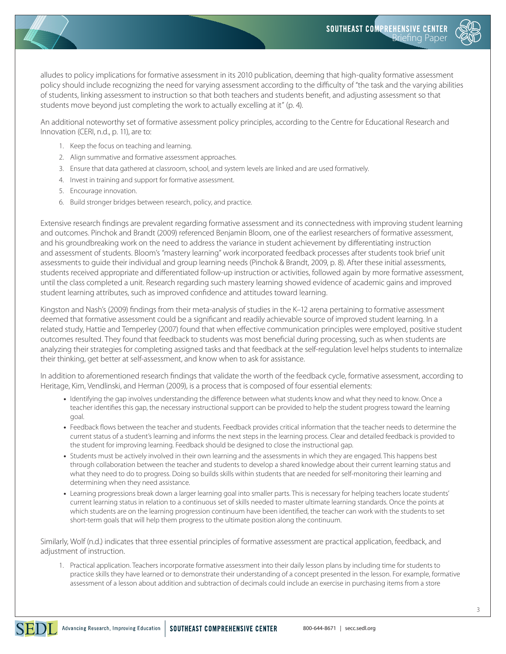

alludes to policy implications for formative assessment in its 2010 publication, deeming that high-quality formative assessment policy should include recognizing the need for varying assessment according to the difficulty of "the task and the varying abilities of students, linking assessment to instruction so that both teachers and students benefit, and adjusting assessment so that students move beyond just completing the work to actually excelling at it" (p. 4).

An additional noteworthy set of formative assessment policy principles, according to the Centre for Educational Research and Innovation (CERI, n.d., p. 11), are to:

- 1. Keep the focus on teaching and learning.
- 2. Align summative and formative assessment approaches.
- 3. Ensure that data gathered at classroom, school, and system levels are linked and are used formatively.
- 4. Invest in training and support for formative assessment.
- 5. Encourage innovation.
- 6. Build stronger bridges between research, policy, and practice.

Extensive research findings are prevalent regarding formative assessment and its connectedness with improving student learning and outcomes. Pinchok and Brandt (2009) referenced Benjamin Bloom, one of the earliest researchers of formative assessment, and his groundbreaking work on the need to address the variance in student achievement by differentiating instruction and assessment of students. Bloom's "mastery learning" work incorporated feedback processes after students took brief unit assessments to guide their individual and group learning needs (Pinchok & Brandt, 2009, p. 8). After these initial assessments, students received appropriate and differentiated follow-up instruction or activities, followed again by more formative assessment, until the class completed a unit. Research regarding such mastery learning showed evidence of academic gains and improved student learning attributes, such as improved confidence and attitudes toward learning.

Kingston and Nash's (2009) findings from their meta-analysis of studies in the K–12 arena pertaining to formative assessment deemed that formative assessment could be a significant and readily achievable source of improved student learning. In a related study, Hattie and Temperley (2007) found that when effective communication principles were employed, positive student outcomes resulted. They found that feedback to students was most beneficial during processing, such as when students are analyzing their strategies for completing assigned tasks and that feedback at the self-regulation level helps students to internalize their thinking, get better at self-assessment, and know when to ask for assistance.

In addition to aforementioned research findings that validate the worth of the feedback cycle, formative assessment, according to Heritage, Kim, Vendlinski, and Herman (2009), is a process that is composed of four essential elements:

- **•** Identifying the gap involves understanding the difference between what students know and what they need to know. Once a teacher identifies this gap, the necessary instructional support can be provided to help the student progress toward the learning goal.
- **•** Feedback flows between the teacher and students. Feedback provides critical information that the teacher needs to determine the current status of a student's learning and informs the next steps in the learning process. Clear and detailed feedback is provided to the student for improving learning. Feedback should be designed to close the instructional gap.
- **•** Students must be actively involved in their own learning and the assessments in which they are engaged. This happens best through collaboration between the teacher and students to develop a shared knowledge about their current learning status and what they need to do to progress. Doing so builds skills within students that are needed for self-monitoring their learning and determining when they need assistance.
- **•** Learning progressions break down a larger learning goal into smaller parts. This is necessary for helping teachers locate students' current learning status in relation to a continuous set of skills needed to master ultimate learning standards. Once the points at which students are on the learning progression continuum have been identified, the teacher can work with the students to set short-term goals that will help them progress to the ultimate position along the continuum.

Similarly, Wolf (n.d.) indicates that three essential principles of formative assessment are practical application, feedback, and adjustment of instruction.

1. Practical application. Teachers incorporate formative assessment into their daily lesson plans by including time for students to practice skills they have learned or to demonstrate their understanding of a concept presented in the lesson. For example, formative assessment of a lesson about addition and subtraction of decimals could include an exercise in purchasing items from a store

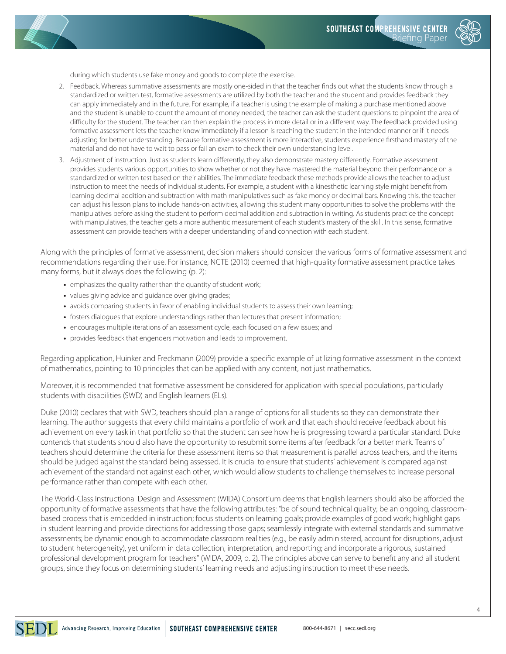

during which students use fake money and goods to complete the exercise.

- 2. Feedback. Whereas summative assessments are mostly one-sided in that the teacher finds out what the students know through a standardized or written test, formative assessments are utilized by both the teacher and the student and provides feedback they can apply immediately and in the future. For example, if a teacher is using the example of making a purchase mentioned above and the student is unable to count the amount of money needed, the teacher can ask the student questions to pinpoint the area of difficulty for the student. The teacher can then explain the process in more detail or in a different way. The feedback provided using formative assessment lets the teacher know immediately if a lesson is reaching the student in the intended manner or if it needs adjusting for better understanding. Because formative assessment is more interactive, students experience firsthand mastery of the material and do not have to wait to pass or fail an exam to check their own understanding level.
- 3. Adjustment of instruction. Just as students learn differently, they also demonstrate mastery differently. Formative assessment provides students various opportunities to show whether or not they have mastered the material beyond their performance on a standardized or written test based on their abilities. The immediate feedback these methods provide allows the teacher to adjust instruction to meet the needs of individual students. For example, a student with a kinesthetic learning style might benefit from learning decimal addition and subtraction with math manipulatives such as fake money or decimal bars. Knowing this, the teacher can adjust his lesson plans to include hands-on activities, allowing this student many opportunities to solve the problems with the manipulatives before asking the student to perform decimal addition and subtraction in writing. As students practice the concept with manipulatives, the teacher gets a more authentic measurement of each student's mastery of the skill. In this sense, formative assessment can provide teachers with a deeper understanding of and connection with each student.

Along with the principles of formative assessment, decision makers should consider the various forms of formative assessment and recommendations regarding their use. For instance, NCTE (2010) deemed that high-quality formative assessment practice takes many forms, but it always does the following (p. 2):

- **•** emphasizes the quality rather than the quantity of student work;
- **•** values giving advice and guidance over giving grades;
- **•** avoids comparing students in favor of enabling individual students to assess their own learning;
- **•** fosters dialogues that explore understandings rather than lectures that present information;
- **•** encourages multiple iterations of an assessment cycle, each focused on a few issues; and
- **•** provides feedback that engenders motivation and leads to improvement.

Regarding application, Huinker and Freckmann (2009) provide a specific example of utilizing formative assessment in the context of mathematics, pointing to 10 principles that can be applied with any content, not just mathematics.

Moreover, it is recommended that formative assessment be considered for application with special populations, particularly students with disabilities (SWD) and English learners (ELs).

Duke (2010) declares that with SWD, teachers should plan a range of options for all students so they can demonstrate their learning. The author suggests that every child maintains a portfolio of work and that each should receive feedback about his achievement on every task in that portfolio so that the student can see how he is progressing toward a particular standard. Duke contends that students should also have the opportunity to resubmit some items after feedback for a better mark. Teams of teachers should determine the criteria for these assessment items so that measurement is parallel across teachers, and the items should be judged against the standard being assessed. It is crucial to ensure that students' achievement is compared against achievement of the standard not against each other, which would allow students to challenge themselves to increase personal performance rather than compete with each other.

The World-Class Instructional Design and Assessment (WIDA) Consortium deems that English learners should also be afforded the opportunity of formative assessments that have the following attributes: "be of sound technical quality; be an ongoing, classroombased process that is embedded in instruction; focus students on learning goals; provide examples of good work; highlight gaps in student learning and provide directions for addressing those gaps; seamlessly integrate with external standards and summative assessments; be dynamic enough to accommodate classroom realities (e.g., be easily administered, account for disruptions, adjust to student heterogeneity), yet uniform in data collection, interpretation, and reporting; and incorporate a rigorous, sustained professional development program for teachers" (WIDA, 2009, p. 2). The principles above can serve to benefit any and all student groups, since they focus on determining students' learning needs and adjusting instruction to meet these needs.

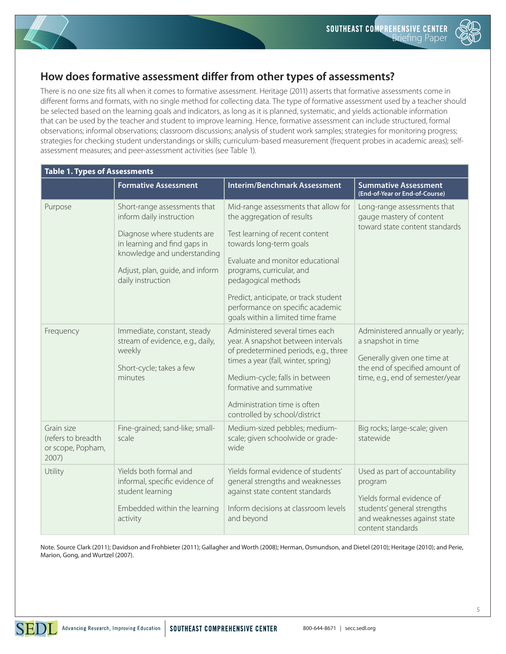

# **How does formative assessment differ from other types of assessments?**

There is no one size fits all when it comes to formative assessment. Heritage (2011) asserts that formative assessments come in different forms and formats, with no single method for collecting data. The type of formative assessment used by a teacher should be selected based on the learning goals and indicators, as long as it is planned, systematic, and yields actionable information that can be used by the teacher and student to improve learning. Hence, formative assessment can include structured, formal observations; informal observations; classroom discussions; analysis of student work samples; strategies for monitoring progress; strategies for checking student understandings or skills; curriculum-based measurement (frequent probes in academic areas); selfassessment measures; and peer-assessment activities (see Table 1).

| <b>Table 1. Types of Assessments</b>                           |                                                                                                                                                                                                                |                                                                                                                                                                                                                                                                                                                                            |                                                                                                                                                             |
|----------------------------------------------------------------|----------------------------------------------------------------------------------------------------------------------------------------------------------------------------------------------------------------|--------------------------------------------------------------------------------------------------------------------------------------------------------------------------------------------------------------------------------------------------------------------------------------------------------------------------------------------|-------------------------------------------------------------------------------------------------------------------------------------------------------------|
|                                                                | <b>Formative Assessment</b>                                                                                                                                                                                    | <b>Interim/Benchmark Assessment</b>                                                                                                                                                                                                                                                                                                        | <b>Summative Assessment</b><br>(End-of-Year or End-of-Course)                                                                                               |
| Purpose                                                        | Short-range assessments that<br>inform daily instruction<br>Diagnose where students are<br>in learning and find gaps in<br>knowledge and understanding<br>Adjust, plan, guide, and inform<br>daily instruction | Mid-range assessments that allow for<br>the aggregation of results<br>Test learning of recent content<br>towards long-term goals<br>Evaluate and monitor educational<br>programs, curricular, and<br>pedagogical methods<br>Predict, anticipate, or track student<br>performance on specific academic<br>goals within a limited time frame | Long-range assessments that<br>gauge mastery of content<br>toward state content standards                                                                   |
| Frequency                                                      | Immediate, constant, steady<br>stream of evidence, e.g., daily,<br>weekly<br>Short-cycle; takes a few<br>minutes                                                                                               | Administered several times each<br>year. A snapshot between intervals<br>of predetermined periods, e.g., three<br>times a year (fall, winter, spring)<br>Medium-cycle; falls in between<br>formative and summative<br>Administration time is often<br>controlled by school/district                                                        | Administered annually or yearly;<br>a snapshot in time<br>Generally given one time at<br>the end of specified amount of<br>time, e.g., end of semester/year |
| Grain size<br>(refers to breadth<br>or scope, Popham,<br>2007) | Fine-grained; sand-like; small-<br>scale                                                                                                                                                                       | Medium-sized pebbles; medium-<br>scale; given schoolwide or grade-<br>wide                                                                                                                                                                                                                                                                 | Big rocks; large-scale; given<br>statewide                                                                                                                  |
| Utility                                                        | Yields both formal and<br>informal, specific evidence of<br>student learning<br>Embedded within the learning<br>activity                                                                                       | Yields formal evidence of students'<br>general strengths and weaknesses<br>against state content standards<br>Inform decisions at classroom levels<br>and beyond                                                                                                                                                                           | Used as part of accountability<br>program<br>Yields formal evidence of<br>students' general strengths<br>and weaknesses against state<br>content standards  |

Note. Source Clark (2011); Davidson and Frohbieter (2011); Gallagher and Worth (2008); Herman, Osmundson, and Dietel (2010); Heritage (2010); and Perie, Marion, Gong, and Wurtzel (2007).

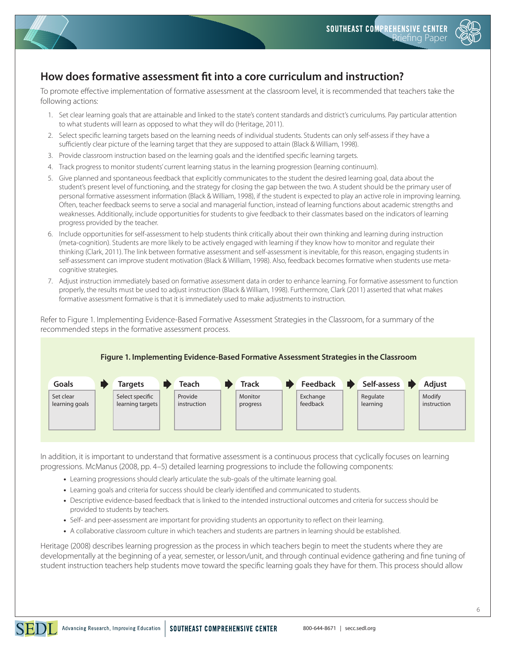

# **How does formative assessment fit into a core curriculum and instruction?**

To promote effective implementation of formative assessment at the classroom level, it is recommended that teachers take the following actions:

- 1. Set clear learning goals that are attainable and linked to the state's content standards and district's curriculums. Pay particular attention to what students will learn as opposed to what they will do (Heritage, 2011).
- 2. Select specific learning targets based on the learning needs of individual students. Students can only self-assess if they have a sufficiently clear picture of the learning target that they are supposed to attain (Black & William, 1998).
- 3. Provide classroom instruction based on the learning goals and the identified specific learning targets.
- 4. Track progress to monitor students' current learning status in the learning progression (learning continuum).
- 5. Give planned and spontaneous feedback that explicitly communicates to the student the desired learning goal, data about the student's present level of functioning, and the strategy for closing the gap between the two. A student should be the primary user of personal formative assessment information (Black & William, 1998), if the student is expected to play an active role in improving learning. Often, teacher feedback seems to serve a social and managerial function, instead of learning functions about academic strengths and weaknesses. Additionally, include opportunities for students to give feedback to their classmates based on the indicators of learning progress provided by the teacher.
- 6. Include opportunities for self-assessment to help students think critically about their own thinking and learning during instruction (meta-cognition). Students are more likely to be actively engaged with learning if they know how to monitor and regulate their thinking (Clark, 2011). The link between formative assessment and self-assessment is inevitable, for this reason, engaging students in self-assessment can improve student motivation (Black & William, 1998). Also, feedback becomes formative when students use metacognitive strategies.
- 7. Adjust instruction immediately based on formative assessment data in order to enhance learning. For formative assessment to function properly, the results must be used to adjust instruction (Black & William, 1998). Furthermore, Clark (2011) asserted that what makes formative assessment formative is that it is immediately used to make adjustments to instruction.

Refer to Figure 1. Implementing Evidence-Based Formative Assessment Strategies in the Classroom, for a summary of the recommended steps in the formative assessment process.



In addition, it is important to understand that formative assessment is a continuous process that cyclically focuses on learning progressions. McManus (2008, pp. 4–5) detailed learning progressions to include the following components:

- **•** Learning progressions should clearly articulate the sub-goals of the ultimate learning goal.
- **•** Learning goals and criteria for success should be clearly identified and communicated to students.
- **•** Descriptive evidence-based feedback that is linked to the intended instructional outcomes and criteria for success should be provided to students by teachers.
- **•** Self- and peer-assessment are important for providing students an opportunity to reflect on their learning.
- **•** A collaborative classroom culture in which teachers and students are partners in learning should be established.

Heritage (2008) describes learning progression as the process in which teachers begin to meet the students where they are developmentally at the beginning of a year, semester, or lesson/unit, and through continual evidence gathering and fine tuning of student instruction teachers help students move toward the specific learning goals they have for them. This process should allow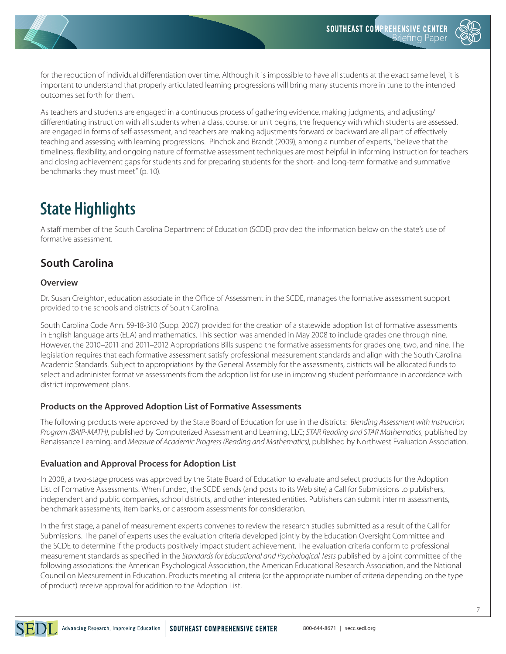

for the reduction of individual differentiation over time. Although it is impossible to have all students at the exact same level, it is important to understand that properly articulated learning progressions will bring many students more in tune to the intended outcomes set forth for them.

As teachers and students are engaged in a continuous process of gathering evidence, making judgments, and adjusting/ differentiating instruction with all students when a class, course, or unit begins, the frequency with which students are assessed, are engaged in forms of self-assessment, and teachers are making adjustments forward or backward are all part of effectively teaching and assessing with learning progressions. Pinchok and Brandt (2009), among a number of experts, "believe that the timeliness, flexibility, and ongoing nature of formative assessment techniques are most helpful in informing instruction for teachers and closing achievement gaps for students and for preparing students for the short- and long-term formative and summative benchmarks they must meet" (p. 10).

# **State Highlights**

A staff member of the South Carolina Department of Education (SCDE) provided the information below on the state's use of formative assessment.

# **South Carolina**

### **Overview**

Dr. Susan Creighton, education associate in the Office of Assessment in the SCDE, manages the formative assessment support provided to the schools and districts of South Carolina.

South Carolina Code Ann. 59-18-310 (Supp. 2007) provided for the creation of a statewide adoption list of formative assessments in English language arts (ELA) and mathematics. This section was amended in May 2008 to include grades one through nine. However, the 2010–2011 and 2011–2012 Appropriations Bills suspend the formative assessments for grades one, two, and nine. The legislation requires that each formative assessment satisfy professional measurement standards and align with the South Carolina Academic Standards. Subject to appropriations by the General Assembly for the assessments, districts will be allocated funds to select and administer formative assessments from the adoption list for use in improving student performance in accordance with district improvement plans.

### **Products on the Approved Adoption List of Formative Assessments**

The following products were approved by the State Board of Education for use in the districts: *Blending Assessment with Instruction Program (BAIP-MATH)*, published by Computerized Assessment and Learning, LLC; *STAR Reading and STAR Mathematics*, published by Renaissance Learning; and *Measure of Academic Progress (Reading and Mathematics)*, published by Northwest Evaluation Association.

### **Evaluation and Approval Process for Adoption List**

In 2008, a two-stage process was approved by the State Board of Education to evaluate and select products for the Adoption List of Formative Assessments. When funded, the SCDE sends (and posts to its Web site) a Call for Submissions to publishers, independent and public companies, school districts, and other interested entities. Publishers can submit interim assessments, benchmark assessments, item banks, or classroom assessments for consideration.

In the first stage, a panel of measurement experts convenes to review the research studies submitted as a result of the Call for Submissions. The panel of experts uses the evaluation criteria developed jointly by the Education Oversight Committee and the SCDE to determine if the products positively impact student achievement. The evaluation criteria conform to professional measurement standards as specified in the *Standards for Educational and Psychological Tests* published by a joint committee of the following associations: the American Psychological Association, the American Educational Research Association, and the National Council on Measurement in Education. Products meeting all criteria (or the appropriate number of criteria depending on the type of product) receive approval for addition to the Adoption List.

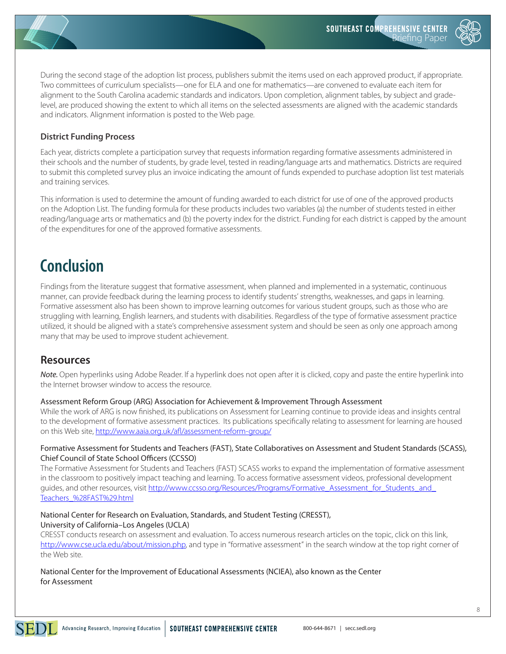

During the second stage of the adoption list process, publishers submit the items used on each approved product, if appropriate. Two committees of curriculum specialists—one for ELA and one for mathematics—are convened to evaluate each item for alignment to the South Carolina academic standards and indicators. Upon completion, alignment tables, by subject and gradelevel, are produced showing the extent to which all items on the selected assessments are aligned with the academic standards and indicators. Alignment information is posted to the Web page.

### **District Funding Process**

Each year, districts complete a participation survey that requests information regarding formative assessments administered in their schools and the number of students, by grade level, tested in reading/language arts and mathematics. Districts are required to submit this completed survey plus an invoice indicating the amount of funds expended to purchase adoption list test materials and training services.

This information is used to determine the amount of funding awarded to each district for use of one of the approved products on the Adoption List. The funding formula for these products includes two variables (a) the number of students tested in either reading/language arts or mathematics and (b) the poverty index for the district. Funding for each district is capped by the amount of the expenditures for one of the approved formative assessments.

# **Conclusion**

Findings from the literature suggest that formative assessment, when planned and implemented in a systematic, continuous manner, can provide feedback during the learning process to identify students' strengths, weaknesses, and gaps in learning. Formative assessment also has been shown to improve learning outcomes for various student groups, such as those who are struggling with learning, English learners, and students with disabilities. Regardless of the type of formative assessment practice utilized, it should be aligned with a state's comprehensive assessment system and should be seen as only one approach among many that may be used to improve student achievement.

### **Resources**

*Note.* Open hyperlinks using Adobe Reader. If a hyperlink does not open after it is clicked, copy and paste the entire hyperlink into the Internet browser window to access the resource.

### Assessment Reform Group (ARG) Association for Achievement & Improvement Through Assessment

While the work of ARG is now finished, its publications on Assessment for Learning continue to provide ideas and insights central to the development of formative assessment practices. Its publications specifically relating to assessment for learning are housed on this Web site, <http://www.aaia.org.uk/afl/assessment-reform-group/>

#### Formative Assessment for Students and Teachers (FAST), State Collaboratives on Assessment and Student Standards (SCASS), Chief Council of State School Officers (CCSSO)

The Formative Assessment for Students and Teachers (FAST) SCASS works to expand the implementation of formative assessment in the classroom to positively impact teaching and learning. To access formative assessment videos, professional development guides, and other resources, visit http://www.ccsso.org/Resources/Programs/Formative\_Assessment\_for\_Students\_and [Teachers\\_%28FAST%29.html](http://www.ccsso.org/Resources/Programs/Formative_Assessment_for_Students_and_Teachers_%28FAST%29.html)

#### National Center for Research on Evaluation, Standards, and Student Testing (CRESST), University of California–Los Angeles (UCLA)

CRESST conducts research on assessment and evaluation. To access numerous research articles on the topic, click on this link, [http://www.cse.ucla.edu/about/mission.php,](http://www.cse.ucla.edu/about/mission.php) and type in "formative assessment" in the search window at the top right corner of the Web site.

National Center for the Improvement of Educational Assessments (NCIEA), also known as the Center for Assessment

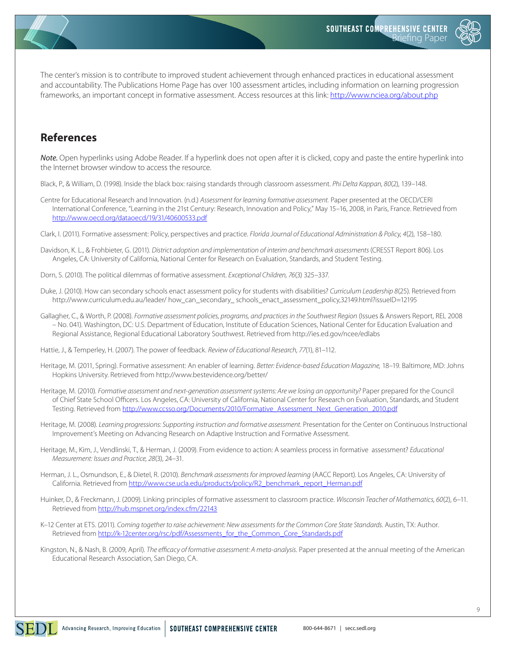

The center's mission is to contribute to improved student achievement through enhanced practices in educational assessment and accountability. The Publications Home Page has over 100 assessment articles, including information on learning progression frameworks, an important concept in formative assessment. Access resources at this link: <http://www.nciea.org/about.php>

### **References**

*Note.* Open hyperlinks using Adobe Reader. If a hyperlink does not open after it is clicked, copy and paste the entire hyperlink into the Internet browser window to access the resource.

Black, P., & William, D. (1998). Inside the black box: raising standards through classroom assessment. *Phi Delta Kappan, 80*(2), 139–148.

Centre for Educational Research and Innovation. (n.d.) *Assessment for learning formative assessment.* Paper presented at the OECD/CERI International Conference, "Learning in the 21st Century: Research, Innovation and Policy," May 15–16, 2008, in Paris, France. Retrieved from <http://www.oecd.org/dataoecd/19/31/40600533.pdf>

Clark, I. (2011). Formative assessment: Policy, perspectives and practice. *Florida Journal of Educational Administration & Policy, 4*(2), 158–180.

- Davidson, K. L., & Frohbieter, G. (2011). *District adoption and implementation of interim and benchmark assessments* (CRESST Report 806). Los Angeles, CA: University of California, National Center for Research on Evaluation, Standards, and Student Testing.
- Dorn, S. (2010). The political dilemmas of formative assessment. *Exceptional Children, 76*(3) 325–337.
- Duke, J. (2010). How can secondary schools enact assessment policy for students with disabilities? *Curriculum Leadership 8*(25). Retrieved from [http://www.curriculum.edu.au/leader/ how\\_can\\_secondary\\_ schools\\_enact\\_assessment\\_policy,32149.html?issueID=12195](http://www.curriculum.edu.au/leader/)
- Gallagher, C., & Worth, P. (2008). *Formative assessment policies, programs, and practices in the Southwest Region* (Issues & Answers Report, REL 2008 – No. 041). Washington, DC: U.S. Department of Education, Institute of Education Sciences, National Center for Education Evaluation and Regional Assistance, Regional Educational Laboratory Southwest. Retrieved from <http://ies.ed.gov/ncee/edlabs>
- Hattie, J., & Temperley, H. (2007). The power of feedback. *Review of Educational Research, 77*(1), 81–112.
- Heritage, M. (2011, Spring). Formative assessment: An enabler of learning. *Better: Evidence-based Education Magazine,* 18–19. Baltimore, MD: Johns Hopkins University. Retrieved from <http://www.bestevidence.org/better/>
- Heritage, M. (2010). *Formative assessment and next-generation assessment systems: Are we losing an opportunity?* Paper prepared for the Council of Chief State School Officers. Los Angeles, CA: University of California, National Center for Research on Evaluation, Standards, and Student Testing. Retrieved from [http://www.ccsso.org/Documents/2010/Formative\\_Assessment\\_Next\\_Generation\\_2010.pdf](http://www.ccsso.org/Documents/2010/Formative_Assessment_Next_Generation_2010.pdf)
- Heritage, M. (2008). *Learning progressions: Supporting instruction and formative assessment.* Presentation for the Center on Continuous Instructional Improvement's Meeting on Advancing Research on Adaptive Instruction and Formative Assessment.
- Heritage, M., Kim, J., Vendlinski, T., & Herman, J. (2009). From evidence to action: A seamless process in formative assessment? *Educational Measurement: Issues and Practice, 28*(3), 24–31.
- Herman, J. L., Osmundson, E., & Dietel, R. (2010). *Benchmark assessments for improved learning* (AACC Report). Los Angeles, CA: University of California. Retrieved from [http://www.cse.ucla.edu/products/policy/R2\\_benchmark\\_report\\_Herman.pdf](http://www.cse.ucla.edu/products/policy/R2_benchmark_report_Herman.pdf)
- Huinker, D., & Freckmann, J. (2009). Linking principles of formative assessment to classroom practice. *Wisconsin Teacher of Mathematics, 60*(2), 6–11. Retrieved from <http://hub.mspnet.org/index.cfm/22143>
- K-12 Center at ETS. (2011). *Coming together to raise achievement: New assessments for the Common Core State Standards*. Austin, TX: Author. Retrieved from [http://k-12center.org/rsc/pdf/Assessments\\_for\\_the\\_Common\\_Core\\_Standards.pdf](http://k-12center.org/rsc/pdf/Assessments_for_the_Common_Core_Standards.pdf)
- Kingston, N., & Nash, B. (2009, April). *The efficacy of formative assessment: A meta-analysis.* Paper presented at the annual meeting of the American Educational Research Association, San Diego, CA.

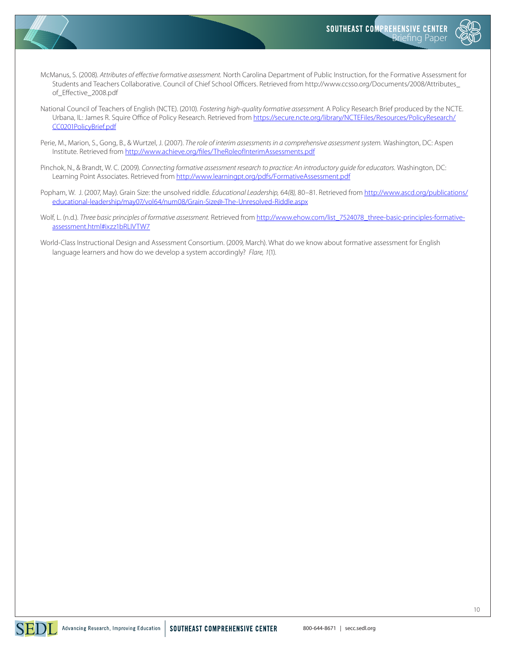



- McManus, S. (2008). *Attributes of effective formative assessment.* North Carolina Department of Public Instruction, for the Formative Assessment for Students and Teachers Collaborative. Council of Chief School Officers. Retrieved from http://www.ccsso.org/Documents/2008/Attributes\_ of\_Effective\_2008.pdf
- National Council of Teachers of English (NCTE). (2010). *Fostering high-quality formative assessment.* A Policy Research Brief produced by the NCTE. Urbana, IL: James R. Squire Office of Policy Research. Retrieved from [https://secure.ncte.org/library/NCTEFiles/Resources/PolicyResearch/](https://secure.ncte.org/library/NCTEFiles/Resources/PolicyResearch/CC0201PolicyBrief.pdf) [CC0201PolicyBrief.pdf](https://secure.ncte.org/library/NCTEFiles/Resources/PolicyResearch/CC0201PolicyBrief.pdf)
- Perie, M., Marion, S., Gong, B., & Wurtzel, J. (2007). *The role of interim assessments in a comprehensive assessment system.* Washington, DC: Aspen Institute. Retrieved from <http://www.achieve.org/files/TheRoleofInterimAssessments.pdf>
- Pinchok, N., & Brandt, W. C. (2009). *Connecting formative assessment research to practice: An introductory guide for educators.* Washington, DC: Learning Point Associates. Retrieved from <http://www.learningpt.org/pdfs/FormativeAssessment.pdf>
- Popham, W. J. (2007, May). Grain Size: the unsolved riddle. *Educational Leadership,* 64*(8),* 80–81. Retrieved from [http://www.ascd.org/publications/](http://www.ascd.org/publications/educational-leadership/may07/vol64/num08/Grain-Size@-The-Unresolved-Riddle.aspx) [educational-leadership/may07/vol64/num08/Grain-Size@-The-Unresolved-Riddle.aspx](http://www.ascd.org/publications/educational-leadership/may07/vol64/num08/Grain-Size@-The-Unresolved-Riddle.aspx)
- Wolf, L. (n.d.). Three basic principles of formative assessment. Retrieved from [http://www.ehow.com/list\\_7524078\\_three-basic-principles-formative](http://www.ehow.com/list_7524078_three-basic-principles-formative-assessment.html#ixzz1bRLIVTW7)[assessment.html#ixzz1bRLIVTW7](http://www.ehow.com/list_7524078_three-basic-principles-formative-assessment.html#ixzz1bRLIVTW7)
- World-Class Instructional Design and Assessment Consortium. (2009, March). What do we know about formative assessment for English language learners and how do we develop a system accordingly? *Flare, 1*(1).